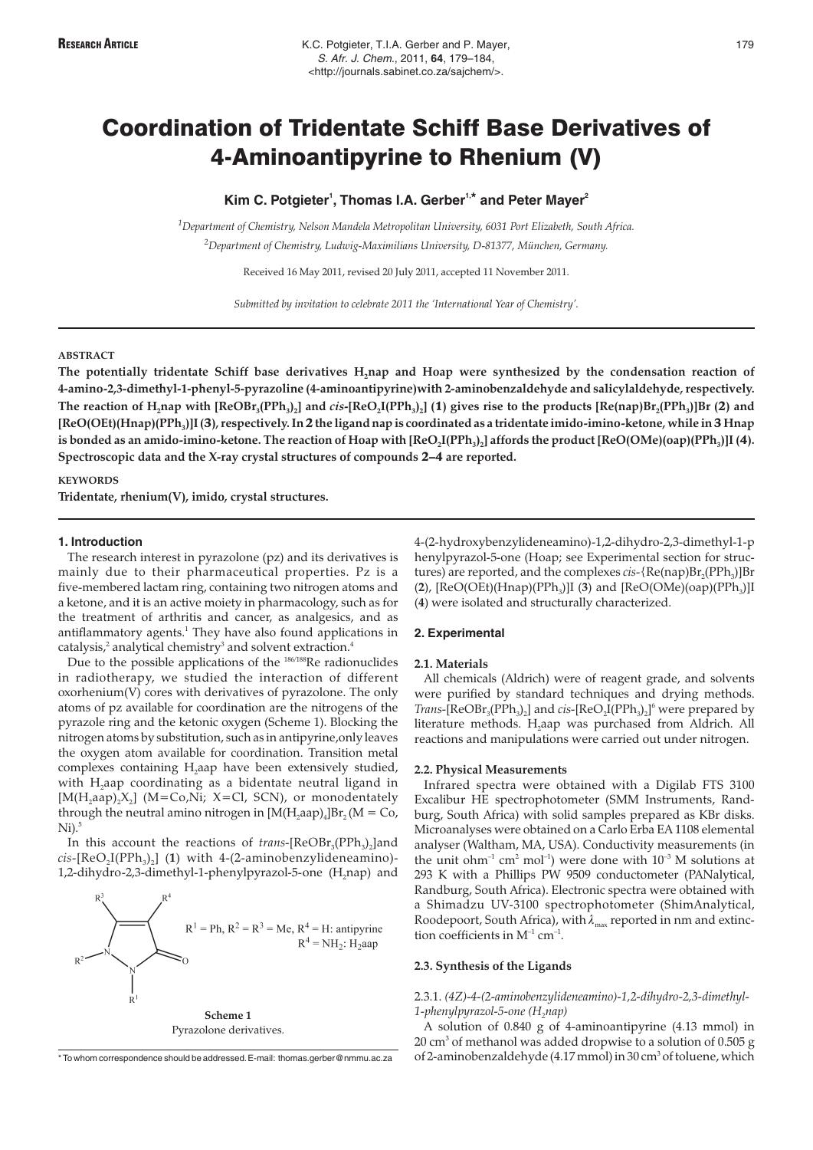# Coordination of Tridentate Schiff Base Derivatives of 4-Aminoantipyrine to Rhenium (V)

# **Kim C. Potgieter<sup>1</sup> , Thomas I.A. Gerber1,\* and Peter Mayer<sup>2</sup>**

*1 Department of Chemistry, Nelson Mandela Metropolitan University, 6031 Port Elizabeth, South Africa. 2 Department of Chemistry, Ludwig-Maximilians University, D-81377, München, Germany.*

Received 16 May 2011, revised 20 July 2011, accepted 11 November 2011.

*Submitted by invitation to celebrate 2011 the 'International Year of Chemistry'.*

#### **ABSTRACT**

The potentially tridentate Schiff base derivatives H<sub>2</sub>nap and Hoap were synthesized by the condensation reaction of **4-amino-2,3-dimethyl-1-phenyl-5-pyrazoline (4-aminoantipyrine)with 2-aminobenzaldehyde and salicylaldehyde, respectively.** The reaction of  $H_2$ nap with  $[ReOBr_3(PPh_3)_2]$  and *cis*- $[ReO_2I(PPh_3)_2]$  (1) gives rise to the products  $[Re(np)Br_2(PPh_3)]Br$  (2) and **[ReO(OEt)(Hnap)(PPh3)]I (**3**), respectively. In**2**the ligand nap is coordinated as a tridentate imido-imino-ketone, while in**3 **Hnap** is bonded as an amido-imino-ketone. The reaction of Hoap with  $[ReO_2I(PPh_3)_2]$  affords the product  $[ReO(OMe)(\text{cap})(PPh_3)]$  [4). **Spectroscopic data and the X-ray crystal structures of compounds** 2–4 **are reported.**

### **KEYWORDS**

**Tridentate, rhenium(V), imido, crystal structures.**

#### **1. Introduction**

The research interest in pyrazolone (pz) and its derivatives is mainly due to their pharmaceutical properties. Pz is a five-membered lactam ring, containing two nitrogen atoms and a ketone, and it is an active moiety in pharmacology, such as for the treatment of arthritis and cancer, as analgesics, and as antiflammatory agents.<sup>1</sup> They have also found applications in catalysis, $^2$  analytical chemistry<sup>3</sup> and solvent extraction.<sup>4</sup>

Due to the possible applications of the 186/188Re radionuclides in radiotherapy, we studied the interaction of different oxorhenium(V) cores with derivatives of pyrazolone. The only atoms of pz available for coordination are the nitrogens of the pyrazole ring and the ketonic oxygen (Scheme 1). Blocking the nitrogen atoms by substitution, such as in antipyrine,only leaves the oxygen atom available for coordination. Transition metal complexes containing H<sub>2</sub>aap have been extensively studied, with  $H_2$ aap coordinating as a bidentate neutral ligand in [ $M(H_2aap)_2X_2$ ] (M=Co,Ni; X=Cl, SCN), or monodentately through the neutral amino nitrogen in  $[M(H_1, aap)_4]Br_2(M = Co,$  $Ni).<sup>5</sup>$ 

In this account the reactions of *trans*-[ReOBr<sub>3</sub>(PPh<sub>3</sub>)<sub>2</sub>]and  $cis$ - $[ReO<sub>2</sub>I(PPh<sub>3</sub>)<sub>2</sub>]$  (1) with 4-(2-aminobenzylideneamino)-1,2-dihydro-2,3-dimethyl-1-phenylpyrazol-5-one (H<sub>2</sub>nap) and



Pyrazolone derivatives.

\* To whom correspondence should be addressed.E-mail: thomas.gerber@nmmu.ac.za

4-(2-hydroxybenzylideneamino)-1,2-dihydro-2,3-dimethyl-1-p henylpyrazol-5-one (Hoap; see Experimental section for structures) are reported, and the complexes *cis*-{Re(nap)Br<sub>2</sub>(PPh<sub>3</sub>)]Br (2), [ReO(OEt)(Hnap)(PPh<sub>3</sub>)]I (3) and [ReO(OMe)(oap)(PPh<sub>3</sub>)]I (**4**) were isolated and structurally characterized.

#### **2. Experimental**

#### **2.1. Materials**

All chemicals (Aldrich) were of reagent grade, and solvents were purified by standard techniques and drying methods.  $Trans$ -[ $ReOBr_3(PPh_3)_2$ ] and *cis*-[ $ReO_2I(PPh_3)_2$ <sup>6</sup> were prepared by literature methods. H<sub>2</sub>aap was purchased from Aldrich. All reactions and manipulations were carried out under nitrogen.

#### **2.2. Physical Measurements**

Infrared spectra were obtained with a Digilab FTS 3100 Excalibur HE spectrophotometer (SMM Instruments, Randburg, South Africa) with solid samples prepared as KBr disks. Microanalyses were obtained on a Carlo Erba EA 1108 elemental analyser (Waltham, MA, USA). Conductivity measurements (in the unit ohm<sup>-1</sup> cm<sup>2</sup> mol<sup>-1</sup>) were done with  $10^{-3}$  M solutions at 293 K with a Phillips PW 9509 conductometer (PANalytical, Randburg, South Africa). Electronic spectra were obtained with a Shimadzu UV-3100 spectrophotometer (ShimAnalytical, Roodepoort, South Africa), with  $\lambda_{\text{max}}$  reported in nm and extinction coefficients in  $M^{-1}$  cm<sup>-1</sup>.

# **2.3. Synthesis of the Ligands**

2.3.1. *(4Z)-4-(2-aminobenzylideneamino)-1,2-dihydro-2,3-dimethyl-*1-phenylpyrazol-5-one (H<sub>2</sub>nap)

A solution of 0.840 g of 4-aminoantipyrine (4.13 mmol) in  $20 \text{ cm}^3$  of methanol was added dropwise to a solution of 0.505 g of 2-aminobenzaldehyde (4.17 mmol) in 30 cm<sup>3</sup> of toluene, which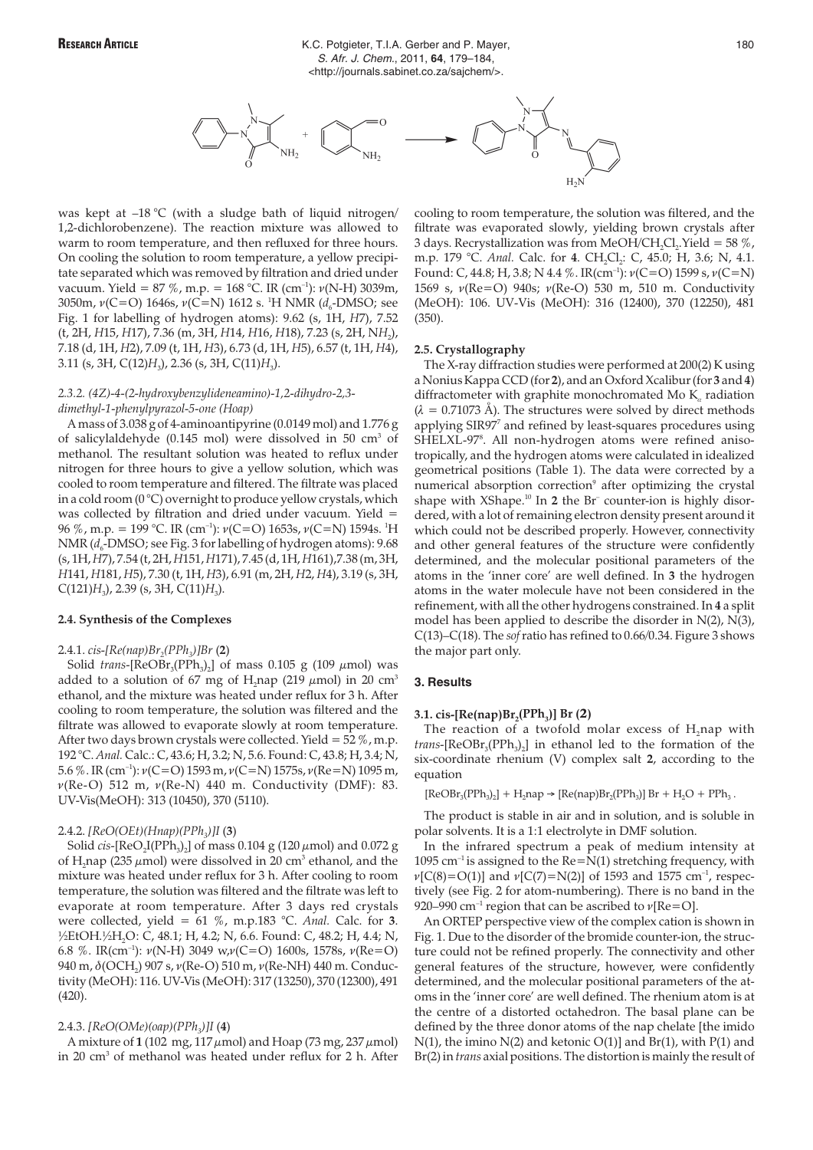

was kept at  $-18$  °C (with a sludge bath of liquid nitrogen/ 1,2-dichlorobenzene). The reaction mixture was allowed to warm to room temperature, and then refluxed for three hours. On cooling the solution to room temperature, a yellow precipitate separated which was removed by filtration and dried under vacuum. Yield = 87 %, m.p. = 168 °C. IR (cm<sup>-1</sup>):  $\nu(N-H)$  3039m, 3050m,  $\nu$ (C=O) 1646s,  $\nu$ (C=N) 1612 s. <sup>1</sup>H NMR ( $d_6$ -DMSO; see Fig. 1 for labelling of hydrogen atoms): 9.62 (s, 1H, *H*7), 7.52 (t, 2H, *H*15, *H*17), 7.36 (m, 3H, *H*14, *H*16, *H*18), 7.23 (s, 2H, N*H*2), 7.18 (d, 1H, *H*2), 7.09 (t, 1H, *H*3), 6.73 (d, 1H, *H*5), 6.57 (t, 1H, *H*4), 3.11 (s, 3H, C(12)*H*3), 2.36 (s, 3H, C(11)*H*3).

## *2.3.2. (4Z)-4-(2-hydroxybenzylideneamino)-1,2-dihydro-2,3 dimethyl-1-phenylpyrazol-5-one (Hoap)*

A mass of 3.038 g of 4-aminoantipyrine (0.0149 mol) and 1.776 g of salicylaldehyde (0.145 mol) were dissolved in 50 cm3 of methanol. The resultant solution was heated to reflux under nitrogen for three hours to give a yellow solution, which was cooled to room temperature and filtered. The filtrate was placed in a cold room  $(0^{\circ}C)$  overnight to produce yellow crystals, which was collected by filtration and dried under vacuum. Yield = 96 %, m.p. = 199 °C. IR (cm<sup>-1</sup>):  $\nu$ (C=O) 1653s,  $\nu$ (C=N) 1594s. <sup>1</sup>H NMR ( $d_6$ -DMSO; see Fig. 3 for labelling of hydrogen atoms): 9.68 (s, 1H,*H*7), 7.54 (t, 2H,*H*151,*H*171), 7.45 (d, 1H,*H*161),7.38 (m, 3H, *H*141, *H*181, *H*5), 7.30 (t, 1H, *H*3), 6.91 (m, 2H, *H*2, *H*4), 3.19 (s, 3H,  $C(121)H_3$ , 2.39 (s, 3H,  $C(11)H_3$ ).

#### **2.4. Synthesis of the Complexes**

#### 2.4.1. *cis-[Re(nap)Br2(PPh3)]Br* (**2**)

Solid *trans*-[ $ReOBr_3(PPh_3)$ ] of mass 0.105 g (109  $\mu$ mol) was added to a solution of 67 mg of H<sub>2</sub>nap (219  $\mu$ mol) in 20 cm<sup>3</sup> ethanol, and the mixture was heated under reflux for 3 h. After cooling to room temperature, the solution was filtered and the filtrate was allowed to evaporate slowly at room temperature. After two days brown crystals were collected. Yield =  $52\%$ , m.p. 192 °C. *Anal.* Calc.: C, 43.6; H, 3.2; N, 5.6. Found: C, 43.8; H, 3.4; N, 5.6 %. IR (cm<sup>-1</sup>):  $v(C=O)$  1593 m,  $v(C=N)$  1575s,  $v(Re=N)$  1095 m,  $v(Re-O)$  512 m,  $v(Re-N)$  440 m. Conductivity (DMF): 83. UV-Vis(MeOH): 313 (10450), 370 (5110).

#### 2.4.2. *[ReO(OEt)(Hnap)(PPh3)]I* (**3**)

Solid *cis*-[ReO<sub>2</sub>I(PPh<sub>3</sub>)<sub>2</sub>] of mass 0.104 g (120  $\mu$ mol) and 0.072 g of H, nap (235  $\mu$ mol) were dissolved in 20 cm<sup>3</sup> ethanol, and the mixture was heated under reflux for 3 h. After cooling to room temperature, the solution was filtered and the filtrate was left to evaporate at room temperature. After 3 days red crystals were collected, yield = 61 %, m.p.183 °C. *Anal.* Calc. for **3**. ½EtOH.½H2O: C, 48.1; H, 4.2; N, 6.6. Found: C, 48.2; H, 4.4; N, 6.8 %. IR(cm<sup>-1</sup>):  $\nu(N-H)$  3049 w, $\nu(C=O)$  1600s, 1578s,  $\nu(Re=O)$ 940 m,  $\delta$ (OCH<sub>2</sub>) 907 s,  $\nu$ (Re-O) 510 m,  $\nu$ (Re-NH) 440 m. Conductivity (MeOH): 116. UV-Vis (MeOH): 317 (13250), 370 (12300), 491 (420).

#### 2.4.3.  $[ReO(OMe)(oap)(PPh_3)]$ **I** (4)

A mixture of  $1(102 \text{ mg}, 117 \mu \text{mol})$  and Hoap (73 mg, 237  $\mu$ mol) in 20 cm<sup>3</sup> of methanol was heated under reflux for 2 h. After cooling to room temperature, the solution was filtered, and the filtrate was evaporated slowly, yielding brown crystals after 3 days. Recrystallization was from MeOH/CH<sub>2</sub>Cl<sub>2</sub>.Yield = 58 %, m.p. 179 °C. Anal. Calc. for 4. CH<sub>2</sub>Cl<sub>2</sub>: C, 45.0; H, 3.6; N, 4.1. Found: C, 44.8; H, 3.8; N 4.4 %. IR(cm<sup>-1</sup>):  $\nu(C=O)$  1599 s,  $\nu(C=N)$ 1569 s,  $v(Re=O)$  940s;  $v(Re-O)$  530 m, 510 m. Conductivity (MeOH): 106. UV-Vis (MeOH): 316 (12400), 370 (12250), 481 (350).

#### **2.5. Crystallography**

The X-ray diffraction studies were performed at 200(2) K using a Nonius Kappa CCD (for **2**), and an Oxford Xcalibur (for **3** and**4**) diffractometer with graphite monochromated Mo  $K<sub>a</sub>$  radiation  $(\lambda = 0.71073 \text{ Å})$ . The structures were solved by direct methods applying SIR97<sup>7</sup> and refined by least-squares procedures using SHELXL-97<sup>8</sup>. All non-hydrogen atoms were refined anisotropically, and the hydrogen atoms were calculated in idealized geometrical positions (Table 1). The data were corrected by a numerical absorption correction<sup>9</sup> after optimizing the crystal shape with XShape.<sup>10</sup> In 2 the Br<sup>-</sup> counter-ion is highly disordered, with a lot of remaining electron density present around it which could not be described properly. However, connectivity and other general features of the structure were confidently determined, and the molecular positional parameters of the atoms in the 'inner core' are well defined. In **3** the hydrogen atoms in the water molecule have not been considered in the refinement, with all the other hydrogens constrained. In **4** a split model has been applied to describe the disorder in N(2), N(3), C(13)–C(18). The *sof*ratio has refined to 0.66/0.34. Figure 3 shows the major part only.

#### **3. Results**

# **3.1. cis-[Re(nap)Br<sub>2</sub>(PPh<sub>3</sub>)] Br (2)**

The reaction of a twofold molar excess of  $H$ <sub>,</sub> nap with trans-[ReOBr<sub>3</sub>(PPh<sub>3</sub>)<sub>2</sub>] in ethanol led to the formation of the six-coordinate rhenium (V) complex salt **2**, according to the equation

 $[ReOBr<sub>3</sub>(PPh<sub>3</sub>)<sub>2</sub>] + H<sub>2</sub>nap \rightarrow [Re(nap)Br<sub>2</sub>(PPh<sub>3</sub>)] Br + H<sub>2</sub>O + PPh<sub>3</sub>$ .

The product is stable in air and in solution, and is soluble in polar solvents. It is a 1:1 electrolyte in DMF solution.

In the infrared spectrum a peak of medium intensity at 1095  $cm^{-1}$  is assigned to the Re=N(1) stretching frequency, with  $\nu$ [C(8)=O(1)] and  $\nu$ [C(7)=N(2)] of 1593 and 1575 cm<sup>-1</sup>, respectively (see Fig. 2 for atom-numbering). There is no band in the 920–990 cm<sup>-1</sup> region that can be ascribed to  $\nu$ [Re=O].

An ORTEP perspective view of the complex cation is shown in Fig. 1. Due to the disorder of the bromide counter-ion, the structure could not be refined properly. The connectivity and other general features of the structure, however, were confidently determined, and the molecular positional parameters of the atoms in the 'inner core' are well defined. The rhenium atom is at the centre of a distorted octahedron. The basal plane can be defined by the three donor atoms of the nap chelate [the imido N(1), the imino N(2) and ketonic O(1)] and Br(1), with P(1) and Br(2) in *trans* axial positions. The distortion is mainly the result of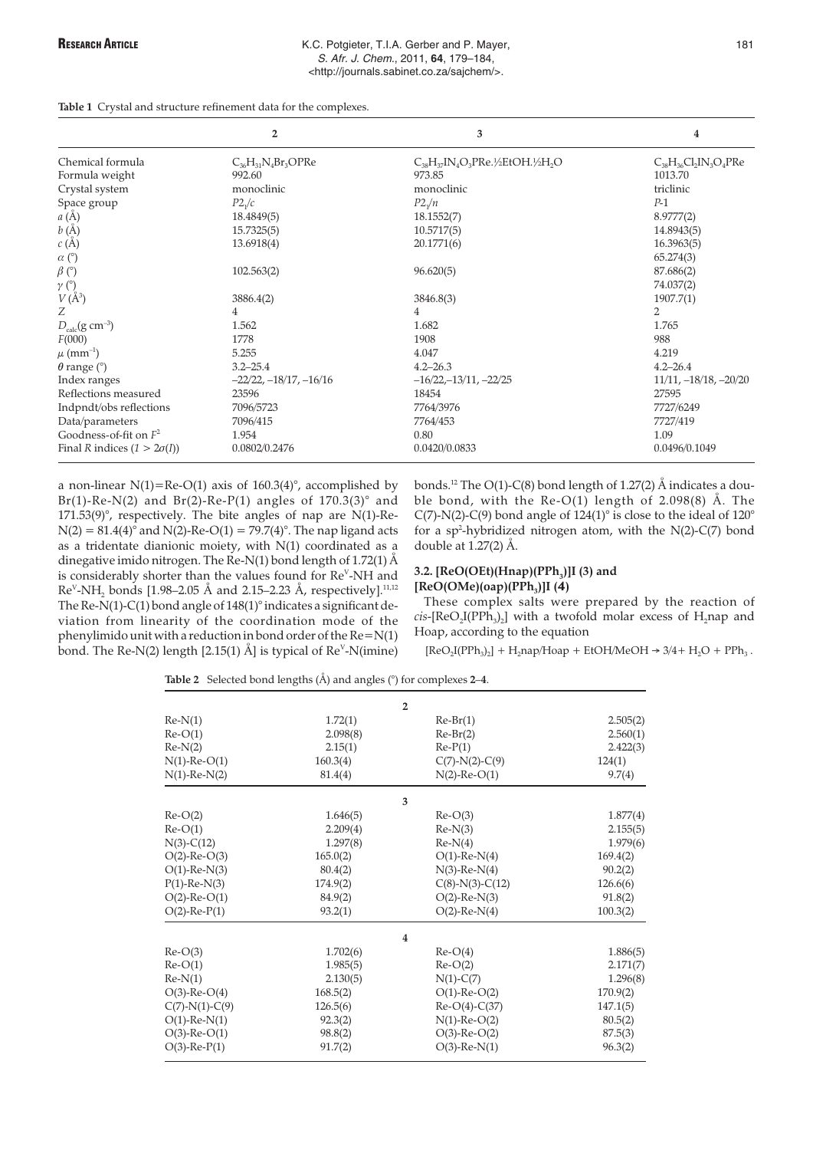|  | Table 1 Crystal and structure refinement data for the complexes. |  |  |  |  |  |  |  |
|--|------------------------------------------------------------------|--|--|--|--|--|--|--|
|--|------------------------------------------------------------------|--|--|--|--|--|--|--|

|                                                            | $\overline{2}$                | 3                                                 | 4                            |
|------------------------------------------------------------|-------------------------------|---------------------------------------------------|------------------------------|
| Chemical formula                                           | $C_{36}H_{31}N_{4}Br_{3}OPRe$ | $C_{38}H_{37}IN_4O_3P$ Re.½EtOH.½H <sub>2</sub> O | $C_{38}H_{36}Cl_2IN_3O_4PRe$ |
| Formula weight                                             | 992.60                        | 973.85                                            | 1013.70                      |
| Crystal system                                             | monoclinic                    | monoclinic                                        | triclinic                    |
| Space group                                                | P2 <sub>1</sub> /c            | P2 <sub>1</sub> /n                                | $P-1$                        |
| a(A)                                                       | 18.4849(5)                    | 18.1552(7)                                        | 8.9777(2)                    |
| b(A)                                                       | 15.7325(5)                    | 10.5717(5)                                        | 14.8943(5)                   |
| c(A)                                                       | 13.6918(4)                    | 20.1771(6)                                        | 16.3963(5)                   |
| $\alpha$ (°)                                               |                               |                                                   | 65.274(3)                    |
| $\beta$ (°)                                                | 102.563(2)                    | 96.620(5)                                         | 87.686(2)                    |
| $\begin{array}{c} \gamma \ (\r) \\ V (\r A^3) \end{array}$ |                               |                                                   | 74.037(2)                    |
|                                                            | 3886.4(2)                     | 3846.8(3)                                         | 1907.7(1)                    |
| Ζ                                                          | 4                             | 4                                                 | 2                            |
| $D_{calc}(g \text{ cm}^{-3})$                              | 1.562                         | 1.682                                             | 1.765                        |
| F(000)                                                     | 1778                          | 1908                                              | 988                          |
| $\mu$ (mm <sup>-1</sup> )                                  | 5.255                         | 4.047                                             | 4.219                        |
| $\theta$ range ( $\degree$ )                               | $3.2 - 25.4$                  | $4.2 - 26.3$                                      | $4.2 - 26.4$                 |
| Index ranges                                               | $-22/22, -18/17, -16/16$      | $-16/22, -13/11, -22/25$                          | $11/11, -18/18, -20/20$      |
| Reflections measured                                       | 23596                         | 18454                                             | 27595                        |
| Indpndt/obs reflections                                    | 7096/5723                     | 7764/3976                                         | 7727/6249                    |
| Data/parameters                                            | 7096/415                      | 7764/453                                          | 7727/419                     |
| Goodness-of-fit on $F^2$                                   | 1.954                         | 0.80                                              | 1.09                         |
| Final R indices $(1 > 2\sigma(I))$                         | 0.0802/0.2476                 | 0.0420/0.0833                                     | 0.0496/0.1049                |

a non-linear N(1)=Re-O(1) axis of  $160.3(4)^\circ$ , accomplished by Br(1)-Re-N(2) and Br(2)-Re-P(1) angles of  $170.3(3)^\circ$  and  $171.53(9)$ °, respectively. The bite angles of nap are N(1)-Re- $N(2) = 81.4(4)$ <sup> $\circ$ </sup> and  $N(2)$ -Re-O(1) = 79.7(4)<sup>o</sup>. The nap ligand acts as a tridentate dianionic moiety, with N(1) coordinated as a dinegative imido nitrogen. The Re-N(1) bond length of 1.72(1) Å is considerably shorter than the values found for Re<sup>v</sup>-NH and  $\text{Re}^{\vee}$ -NH<sub>2</sub> bonds [1.98–2.05 Å and 2.15–2.23 Å, respectively].<sup>11,12</sup> The Re-N(1)-C(1) bond angle of  $148(1)^\circ$  indicates a significant deviation from linearity of the coordination mode of the phenylimido unit with a reduction in bond order of the  $Re = N(1)$ bond. The Re-N(2) length [2.15(1) Å] is typical of Re<sup>v</sup>-N(imine)

bonds.12 The O(1)-C(8) bond length of 1.27(2) Å indicates a double bond, with the  $Re-O(1)$  length of 2.098(8) Å. The C(7)-N(2)-C(9) bond angle of  $124(1)^\circ$  is close to the ideal of  $120^\circ$ for a sp2 -hybridized nitrogen atom, with the N(2)-C(7) bond double at 1.27(2) Å.

# **3.2.** [ReO(OEt)(Hnap)(PPh<sub>3</sub>)]I (3) and  $[ReO(OMe)(oap)(PPh<sub>3</sub>)]I (4)$

These complex salts were prepared by the reaction of  $cis$ -[ReO<sub>2</sub>I(PPh<sub>3</sub>)<sub>2</sub>] with a twofold molar excess of H<sub>2</sub>nap and Hoap, according to the equation

 $[ReO_2I(PPh_3)_2] + H_2nap/Hoap + EtOH/MeOH \rightarrow 3/4 + H_2O + PPh_3$ .

**Table 2** Selected bond lengths (Å) and angles (°) for complexes **2**–**4**.

|                    |          | $\mathbf{2}$       |          |
|--------------------|----------|--------------------|----------|
| $Re-N(1)$          | 1.72(1)  | $Re-Br(1)$         | 2.505(2) |
| $Re-O(1)$          | 2.098(8) | $Re-Br(2)$         | 2.560(1) |
| $Re-N(2)$          | 2.15(1)  | $Re-P(1)$          | 2.422(3) |
| $N(1)$ -Re-O(1)    | 160.3(4) | $C(7)-N(2)-C(9)$   | 124(1)   |
| $N(1)$ -Re- $N(2)$ | 81.4(4)  | $N(2)$ -Re-O(1)    | 9.7(4)   |
|                    |          | 3                  |          |
| $Re-O(2)$          | 1.646(5) | $Re-O(3)$          | 1.877(4) |
| $Re-O(1)$          | 2.209(4) | $Re-N(3)$          | 2.155(5) |
| $N(3)-C(12)$       | 1.297(8) | $Re-N(4)$          | 1.979(6) |
| $O(2)$ -Re- $O(3)$ | 165.0(2) | $O(1)$ -Re-N(4)    | 169.4(2) |
| $O(1)$ -Re- $N(3)$ | 80.4(2)  | $N(3)$ -Re- $N(4)$ | 90.2(2)  |
| $P(1)$ -Re-N(3)    | 174.9(2) | $C(8)-N(3)-C(12)$  | 126.6(6) |
| $O(2)$ -Re- $O(1)$ | 84.9(2)  | $O(2)$ -Re- $N(3)$ | 91.8(2)  |
| $O(2)$ -Re- $P(1)$ | 93.2(1)  | $O(2)$ -Re- $N(4)$ | 100.3(2) |
|                    |          | 4                  |          |
| $Re-O(3)$          | 1.702(6) | $Re-O(4)$          | 1.886(5) |
| $Re-O(1)$          | 1.985(5) | $Re-O(2)$          | 2.171(7) |
| $Re-N(1)$          | 2.130(5) | $N(1)-C(7)$        | 1.296(8) |
| $O(3)$ -Re- $O(4)$ | 168.5(2) | $O(1)$ -Re- $O(2)$ | 170.9(2) |
| $C(7)-N(1)-C(9)$   | 126.5(6) | $Re-O(4)-C(37)$    | 147.1(5) |
| $O(1)$ -Re- $N(1)$ | 92.3(2)  | $N(1)$ -Re-O(2)    | 80.5(2)  |
| $O(3)$ -Re- $O(1)$ | 98.8(2)  | $O(3)$ -Re- $O(2)$ | 87.5(3)  |
| $O(3)$ -Re- $P(1)$ | 91.7(2)  | $O(3)$ -Re- $N(1)$ | 96.3(2)  |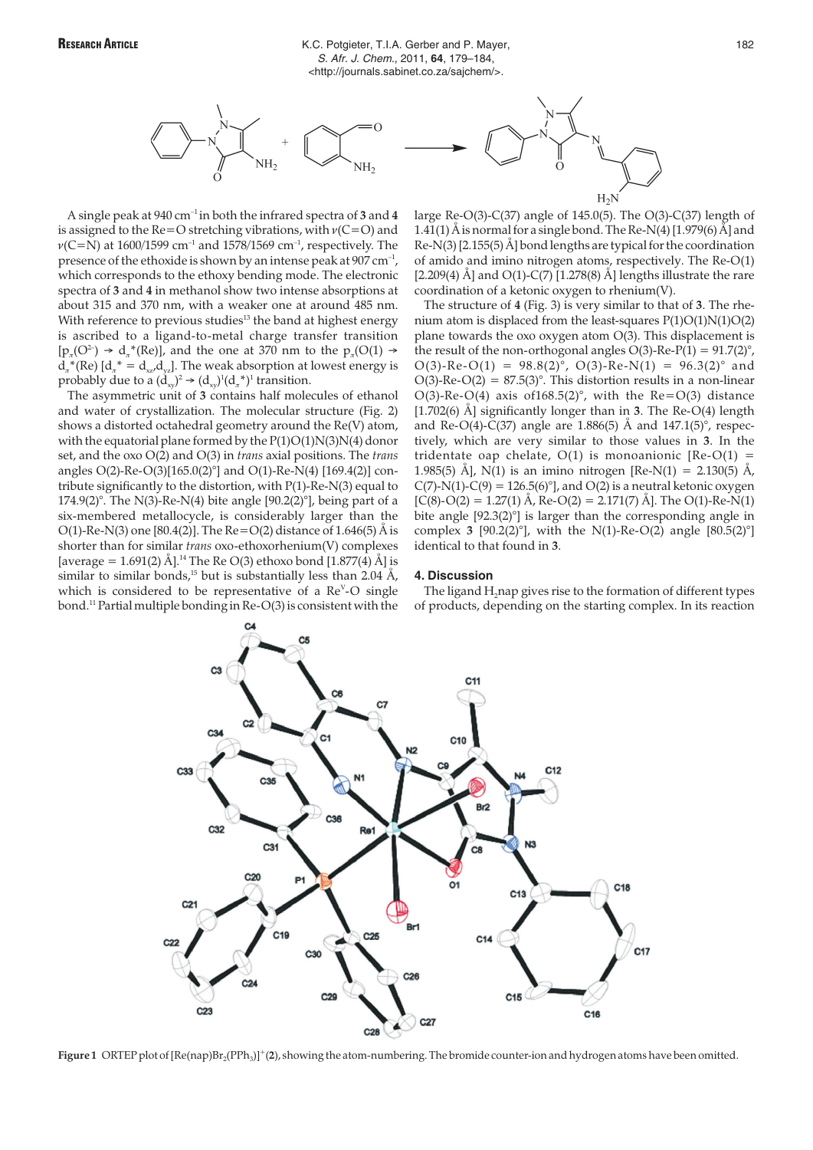

A single peak at 940 cm–1 in both the infrared spectra of **3** and **4** is assigned to the Re=O stretching vibrations, with  $v(C=O)$  and  $v(C=N)$  at 1600/1599 cm<sup>-1</sup> and 1578/1569 cm<sup>-1</sup>, respectively. The presence of the ethoxide is shown by an intense peak at  $907 \text{ cm}^{-1}$ , which corresponds to the ethoxy bending mode. The electronic spectra of **3** and **4** in methanol show two intense absorptions at about 315 and 370 nm, with a weaker one at around 485 nm. With reference to previous studies<sup>13</sup> the band at highest energy is ascribed to a ligand-to-metal charge transfer transition  $[p_7(Q^2) \rightarrow d_7*(Re)]$ , and the one at 370 nm to the  $p_7(Q(1) \rightarrow$  $d_{\pi}^*$ (Re)  $[d_{\pi}^* = d_{xx}/d_{yz}]$ . The weak absorption at lowest energy is probably due to a  $(\dot{d}_{xy})^2 \rightarrow (d_{xy})^1 (d_x^*)^1$  transition.

The asymmetric unit of **3** contains half molecules of ethanol and water of crystallization. The molecular structure (Fig. 2) shows a distorted octahedral geometry around the Re(V) atom, with the equatorial plane formed by the  $P(1)O(1)N(3)N(4)$  donor set, and the oxo O(2) and O(3) in *trans* axial positions. The *trans* angles O(2)-Re-O(3)[165.0(2)°] and O(1)-Re-N(4) [169.4(2)] contribute significantly to the distortion, with P(1)-Re-N(3) equal to 174.9(2)°. The N(3)-Re-N(4) bite angle  $[90.2(2)°]$ , being part of a six-membered metallocycle, is considerably larger than the O(1)-Re-N(3) one [80.4(2)]. The Re=O(2) distance of 1.646(5)  $\AA$  is shorter than for similar *trans* oxo-ethoxorhenium(V) complexes [average = 1.691(2) Å].<sup>14</sup> The Re O(3) ethoxo bond [1.877(4) Å] is similar to similar bonds,<sup>15</sup> but is substantially less than 2.04 Å, which is considered to be representative of a Re<sup>v</sup>-O single bond.11 Partial multiple bonding in Re-O(3) is consistent with the

large Re-O(3)-C(37) angle of 145.0(5). The O(3)-C(37) length of 1.41(1) Å is normal for a single bond. The Re-N(4) [1.979(6)  $\tilde{A}$ ] and Re-N(3) [2.155(5) Å] bond lengths are typical for the coordination of amido and imino nitrogen atoms, respectively. The Re-O(1) [2.209(4) Å] and  $O(1)$ -C(7) [1.278(8) Å] lengths illustrate the rare coordination of a ketonic oxygen to rhenium(V).

The structure of **4** (Fig. 3) is very similar to that of **3**. The rhenium atom is displaced from the least-squares P(1)O(1)N(1)O(2) plane towards the oxo oxygen atom O(3). This displacement is the result of the non-orthogonal angles  $O(3)$ -Re-P(1) = 91.7(2)°,  $O(3)$ -Re- $O(1) = 98.8(2)^\circ$ ,  $O(3)$ -Re-N(1) = 96.3(2)° and O(3)-Re-O(2) =  $87.5(3)$ °. This distortion results in a non-linear O(3)-Re-O(4) axis of  $168.5(2)$ °, with the Re=O(3) distance [1.702(6) Å] significantly longer than in **3**. The Re-O(4) length and Re-O(4)-C(37) angle are 1.886(5) Å and 147.1(5)°, respectively, which are very similar to those values in **3**. In the tridentate oap chelate,  $O(1)$  is monoanionic [Re-O(1) = 1.985(5) Å], N(1) is an imino nitrogen [Re-N(1) = 2.130(5) Å,  $C(7)-N(1)-C(9) = 126.5(6)°$ , and  $O(2)$  is a neutral ketonic oxygen  $[C(8)-O(2) = 1.27(1)$  Å, Re-O(2) = 2.171(7) Å]. The O(1)-Re-N(1) bite angle [92.3(2)°] is larger than the corresponding angle in complex **3** [90.2(2) $^{\circ}$ ], with the N(1)-Re-O(2) angle [80.5(2) $^{\circ}$ ] identical to that found in **3**.

# **4. Discussion**

The ligand H<sub>2</sub>nap gives rise to the formation of different types of products, depending on the starting complex. In its reaction



**Figure 1** ORTEP plot of [Re(nap)Br<sub>2</sub>(PPh<sub>3</sub>)]<sup>+</sup>(2), showing the atom-numbering. The bromide counter-ion and hydrogen atoms have been omitted.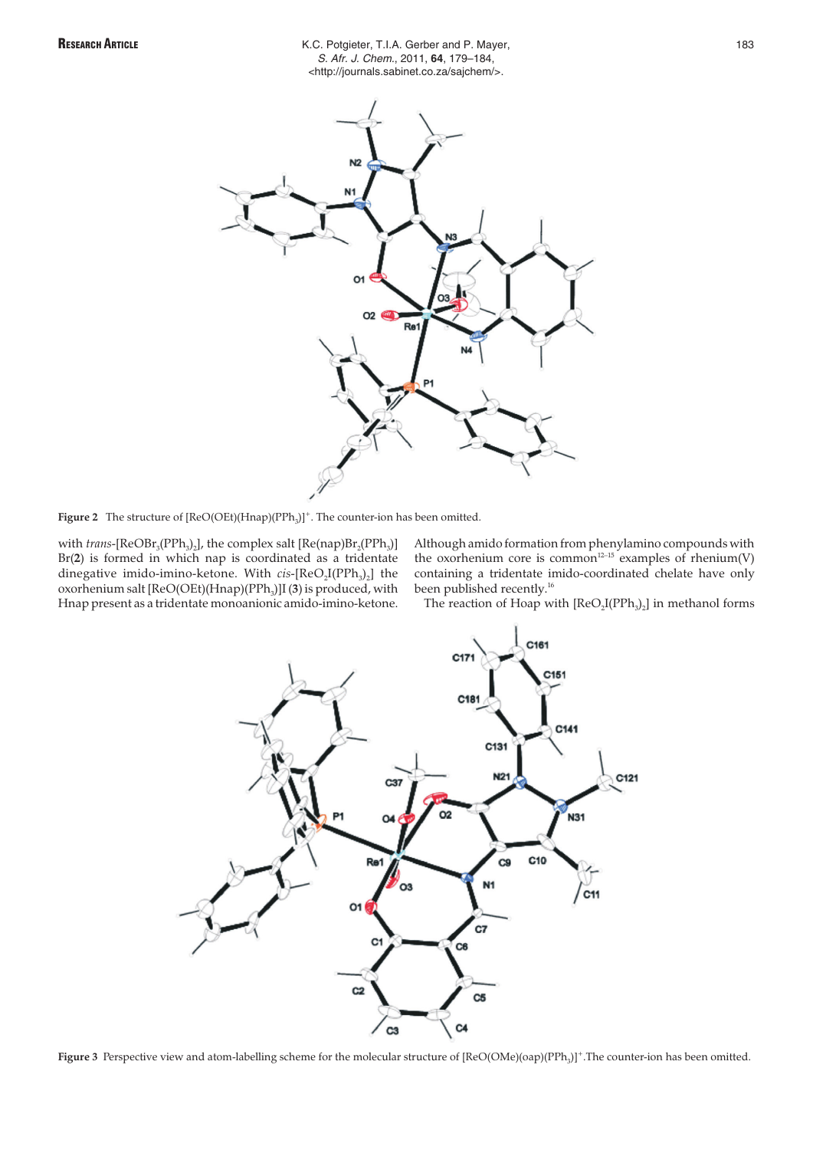

**Figure 2** The structure of  $[ReO(OEt)(Hnap)(PPh<sub>3</sub>)]<sup>+</sup>$ . The counter-ion has been omitted.

with *trans*-[ReOBr<sub>3</sub>(PPh<sub>3</sub>)<sub>2</sub>], the complex salt [Re(nap)Br<sub>2</sub>(PPh<sub>3</sub>)] Br(**2**) is formed in which nap is coordinated as a tridentate dinegative imido-imino-ketone. With *cis*-[ReO<sub>2</sub>I(PPh<sub>3</sub>)<sub>2</sub>] the oxorhenium salt [ReO(OEt)(Hnap)(PPh<sub>3</sub>)]I (3) is produced, with Hnap present as a tridentate monoanionic amido-imino-ketone.

Although amido formation from phenylamino compounds with the oxorhenium core is common<sup>12-15</sup> examples of rhenium(V) containing a tridentate imido-coordinated chelate have only been published recently.<sup>16</sup>

The reaction of Hoap with  $[ReO<sub>2</sub>I(PPh<sub>3</sub>)<sub>2</sub>]$  in methanol forms



Figure 3 Perspective view and atom-labelling scheme for the molecular structure of [ReO(OMe)(oap)(PPh<sub>3</sub>)<sup>+</sup>.The counter-ion has been omitted.